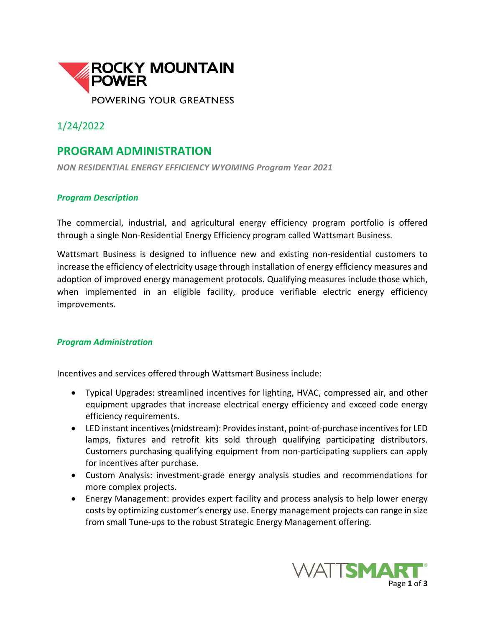

1/24/2022

## **PROGRAM ADMINISTRATION**

*NON RESIDENTIAL ENERGY EFFICIENCY WYOMING Program Year 2021*

## *Program Description*

The commercial, industrial, and agricultural energy efficiency program portfolio is offered through a single Non-Residential Energy Efficiency program called Wattsmart Business.

Wattsmart Business is designed to influence new and existing non-residential customers to increase the efficiency of electricity usage through installation of energy efficiency measures and adoption of improved energy management protocols. Qualifying measures include those which, when implemented in an eligible facility, produce verifiable electric energy efficiency improvements.

## *Program Administration*

Incentives and services offered through Wattsmart Business include:

- Typical Upgrades: streamlined incentives for lighting, HVAC, compressed air, and other equipment upgrades that increase electrical energy efficiency and exceed code energy efficiency requirements.
- LED instant incentives(midstream): Provides instant, point-of-purchase incentives for LED lamps, fixtures and retrofit kits sold through qualifying participating distributors. Customers purchasing qualifying equipment from non-participating suppliers can apply for incentives after purchase.
- Custom Analysis: investment-grade energy analysis studies and recommendations for more complex projects.
- Energy Management: provides expert facility and process analysis to help lower energy costs by optimizing customer's energy use. Energy management projects can range in size from small Tune-ups to the robust Strategic Energy Management offering.

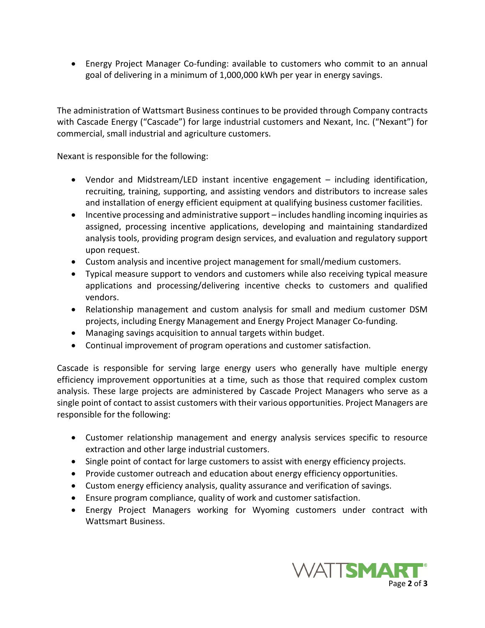• Energy Project Manager Co-funding: available to customers who commit to an annual goal of delivering in a minimum of 1,000,000 kWh per year in energy savings.

The administration of Wattsmart Business continues to be provided through Company contracts with Cascade Energy ("Cascade") for large industrial customers and Nexant, Inc. ("Nexant") for commercial, small industrial and agriculture customers.

Nexant is responsible for the following:

- Vendor and Midstream/LED instant incentive engagement including identification, recruiting, training, supporting, and assisting vendors and distributors to increase sales and installation of energy efficient equipment at qualifying business customer facilities.
- Incentive processing and administrative support includes handling incoming inquiries as assigned, processing incentive applications, developing and maintaining standardized analysis tools, providing program design services, and evaluation and regulatory support upon request.
- Custom analysis and incentive project management for small/medium customers.
- Typical measure support to vendors and customers while also receiving typical measure applications and processing/delivering incentive checks to customers and qualified vendors.
- Relationship management and custom analysis for small and medium customer DSM projects, including Energy Management and Energy Project Manager Co-funding.
- Managing savings acquisition to annual targets within budget.
- Continual improvement of program operations and customer satisfaction.

Cascade is responsible for serving large energy users who generally have multiple energy efficiency improvement opportunities at a time, such as those that required complex custom analysis. These large projects are administered by Cascade Project Managers who serve as a single point of contact to assist customers with their various opportunities. Project Managers are responsible for the following:

- Customer relationship management and energy analysis services specific to resource extraction and other large industrial customers.
- Single point of contact for large customers to assist with energy efficiency projects.
- Provide customer outreach and education about energy efficiency opportunities.
- Custom energy efficiency analysis, quality assurance and verification of savings.
- Ensure program compliance, quality of work and customer satisfaction.
- Energy Project Managers working for Wyoming customers under contract with Wattsmart Business.